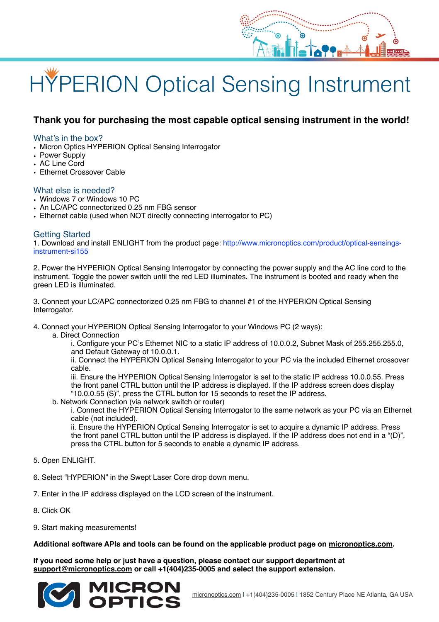# HYPERION Optical Sensing Instrument

# **Thank you for purchasing the most capable optical sensing instrument in the world!**

### What's in the box?

- Micron Optics HYPERION Optical Sensing Interrogator
- Power Supply
- AC Line Cord
- Ethernet Crossover Cable

#### What else is needed?

- Windows 7 or Windows 10 PC
- An LC/APC connectorized 0.25 nm FBG sensor
- Ethernet cable (used when NOT directly connecting interrogator to PC)

#### Getting Started

1. Download and install ENLIGHT from the product page: http://www.micronoptics.com/product/optical-sensingsinstrument-si155

2. Power the HYPERION Optical Sensing Interrogator by connecting the power supply and the AC line cord to the instrument. Toggle the power switch until the red LED illuminates. The instrument is booted and ready when the green LED is illuminated.

3. Connect your LC/APC connectorized 0.25 nm FBG to channel #1 of the HYPERION Optical Sensing Interrogator.

4. Connect your HYPERION Optical Sensing Interrogator to your Windows PC (2 ways):

a. Direct Connection

i. Configure your PC's Ethernet NIC to a static IP address of 10.0.0.2, Subnet Mask of 255.255.255.0, and Default Gateway of 10.0.0.1.

ii. Connect the HYPERION Optical Sensing Interrogator to your PC via the included Ethernet crossover cable.

iii. Ensure the HYPERION Optical Sensing Interrogator is set to the static IP address 10.0.0.55. Press the front panel CTRL button until the IP address is displayed. If the IP address screen does display "10.0.0.55 (S)", press the CTRL button for 15 seconds to reset the IP address.

b. Network Connection (via network switch or router)

i. Connect the HYPERION Optical Sensing Interrogator to the same network as your PC via an Ethernet cable (not included).

ii. Ensure the HYPERION Optical Sensing Interrogator is set to acquire a dynamic IP address. Press the front panel CTRL button until the IP address is displayed. If the IP address does not end in a "(D)", press the CTRL button for 5 seconds to enable a dynamic IP address.

- 5. Open ENLIGHT.
- 6. Select "HYPERION" in the Swept Laser Core drop down menu.
- 7. Enter in the IP address displayed on the LCD screen of the instrument.
- 8. Click OK
- 9. Start making measurements!

## **Additional software APIs and tools can be found on the applicable product page on [micronoptics.com.](http://micronoptics.com)**

**If you need some help or just have a question, please contact our support department at support[@micronoptics.com](http://micronoptics.com) or call +1(404)235-0005 and select the support extension.**